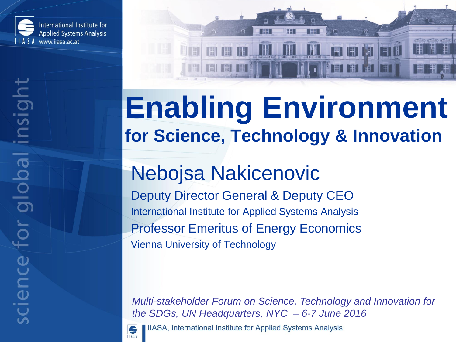

# **Enabling Environment for Science, Technology & Innovation**

Ħ

HU

IH IH

| 隅 |

**THT** 

H

#### Nebojsa Nakicenovic

Deputy Director General & Deputy CEO International Institute for Applied Systems Analysis Professor Emeritus of Energy Economics Vienna University of Technology

*Multi-stakeholder Forum on Science, Technology and Innovation for the SDGs, UN Headquarters, NYC – 6-7 June 2016*



IIASA, International Institute for Applied Systems Analysis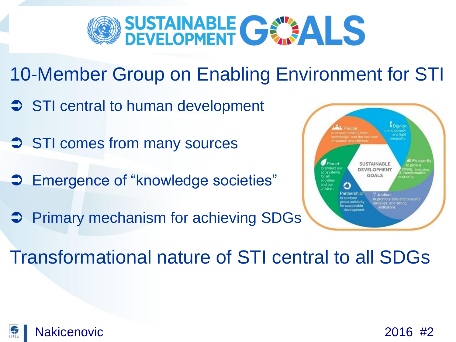

- 10-Member Group on Enabling Environment for STI
- $\supset$  STI central to human development
- **STI comes from many sources**
- **→ Emergence of "knowledge societies"**
- **Primary mechanism for achieving SDGs**



Transformational nature of STI central to all SDGs

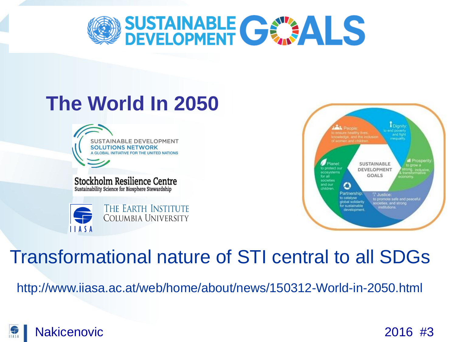

#### **The World In 2050**

SUSTAINABLE DEVELOPMENT UTIONS NETWORK

Stockholm Resilience Centre Sustainability Science for Biosphere Stewardship





#### Transformational nature of STI central to all SDGs

http://www.iiasa.ac.at/web/home/about/news/150312-World-in-2050.html

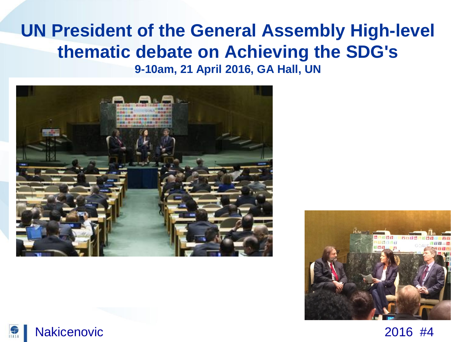#### **UN President of the General Assembly High-level thematic debate on Achieving the SDG's 9-10am, 21 April 2016, GA Hall, UN**



原



Nakicenovic 2016 #4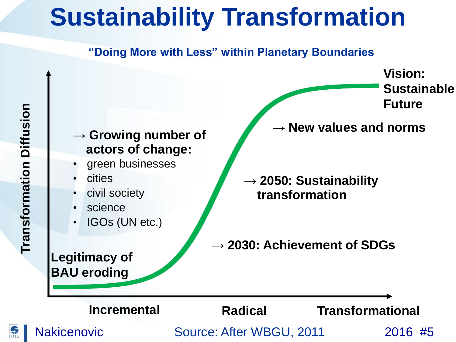### **Sustainability Transformation**

#### **"Doing More with Less" within Planetary Boundaries**

**Vision: Sustainable Future** 

*→* **Growing number of actors of change:**

- green businesses
- cities
- civil society
- **science**
- IGOs (UN etc.)

**Legitimacy of BAU eroding**

*→* **New values and norms**

*→* **2050: Sustainability transformation**

*→* **2030: Achievement of SDGs**

**Radical Transformational**

**Incremental**

Nakicenovic Cource: After WBGU, 2011 2016 #5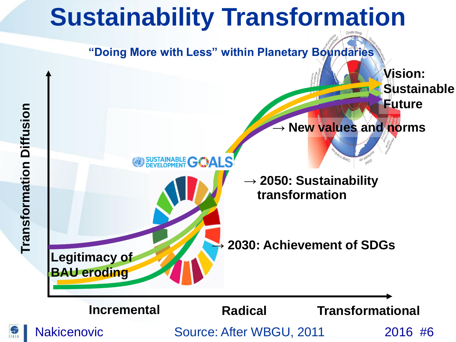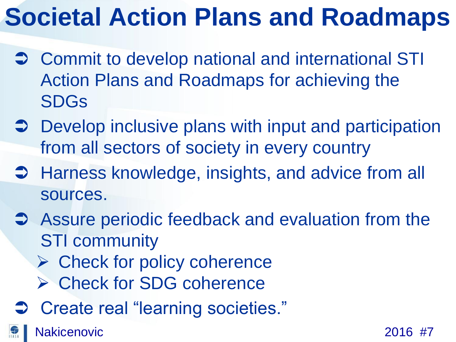# **Societal Action Plans and Roadmaps**

- **→ Commit to develop national and international STI** Action Plans and Roadmaps for achieving the SDGs
- **→ Develop inclusive plans with input and participation** from all sectors of society in every country
- **→ Harness knowledge, insights, and advice from all** sources.
- **→** Assure periodic feedback and evaluation from the STI community
	- $\triangleright$  Check for policy coherence
	- **► Check for SDG coherence**
- **→ Create real "learning societies."**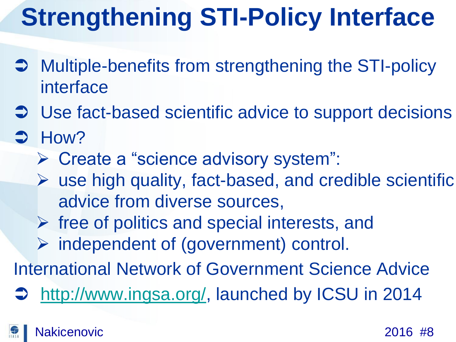# **Strengthening STI-Policy Interface**

- **→ Multiple-benefits from strengthening the STI-policy** interface
- $\supset$  Use fact-based scientific advice to support decisions
- $ightharpoonup$  How?
	- Create a "science advisory system":
	- $\triangleright$  use high quality, fact-based, and credible scientific advice from diverse sources,
	- $\triangleright$  free of politics and special interests, and
	- $\triangleright$  independent of (government) control.

International Network of Government Science Advice

[http://www.ingsa.org/,](http://www.ingsa.org/) launched by ICSU in 2014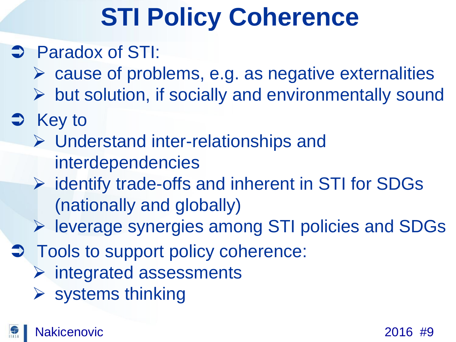# **STI Policy Coherence**

#### **→ Paradox of STI:**

- $\triangleright$  cause of problems, e.g. as negative externalities
- $\triangleright$  but solution, if socially and environmentally sound
- $\Rightarrow$  Key to
	- Understand inter-relationships and interdependencies
	- $\triangleright$  identify trade-offs and inherent in STI for SDGs (nationally and globally)
	- leverage synergies among STI policies and SDGs
- $\supset$  Tools to support policy coherence:
	- $\triangleright$  integrated assessments
	- $\triangleright$  systems thinking